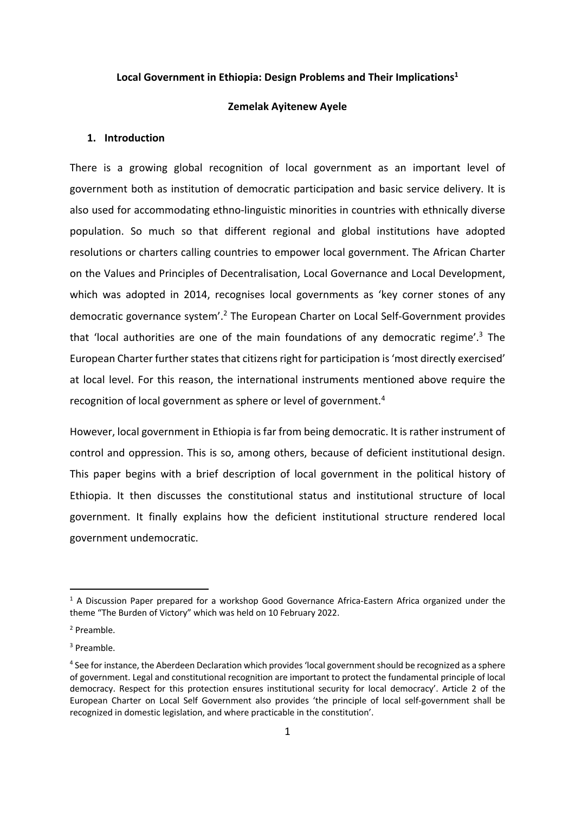# **Local Government in Ethiopia: Design Problems and Their Implications1**

## **Zemelak Ayitenew Ayele**

### **1. Introduction**

There is a growing global recognition of local government as an important level of government both as institution of democratic participation and basic service delivery. It is also used for accommodating ethno-linguistic minorities in countries with ethnically diverse population. So much so that different regional and global institutions have adopted resolutions or charters calling countries to empower local government. The African Charter on the Values and Principles of Decentralisation, Local Governance and Local Development, which was adopted in 2014, recognises local governments as 'key corner stones of any democratic governance system'.2 The European Charter on Local Self-Government provides that 'local authorities are one of the main foundations of any democratic regime'.<sup>3</sup> The European Charter further states that citizens right for participation is 'most directly exercised' at local level. For this reason, the international instruments mentioned above require the recognition of local government as sphere or level of government.4

However, local government in Ethiopia is far from being democratic. It is rather instrument of control and oppression. This is so, among others, because of deficient institutional design. This paper begins with a brief description of local government in the political history of Ethiopia. It then discusses the constitutional status and institutional structure of local government. It finally explains how the deficient institutional structure rendered local government undemocratic.

<sup>&</sup>lt;sup>1</sup> A Discussion Paper prepared for a workshop Good Governance Africa-Eastern Africa organized under the theme "The Burden of Victory" which was held on 10 February 2022.

<sup>2</sup> Preamble.

<sup>3</sup> Preamble.

<sup>4</sup> See for instance, the Aberdeen Declaration which provides 'local government should be recognized as a sphere of government. Legal and constitutional recognition are important to protect the fundamental principle of local democracy. Respect for this protection ensures institutional security for local democracy'. Article 2 of the European Charter on Local Self Government also provides 'the principle of local self-government shall be recognized in domestic legislation, and where practicable in the constitution'.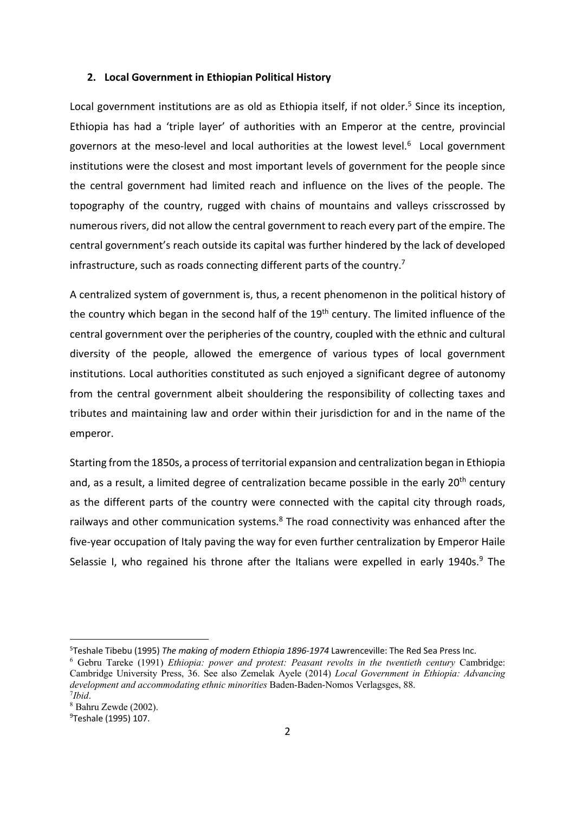#### **2. Local Government in Ethiopian Political History**

Local government institutions are as old as Ethiopia itself, if not older.<sup>5</sup> Since its inception, Ethiopia has had a 'triple layer' of authorities with an Emperor at the centre, provincial governors at the meso-level and local authorities at the lowest level.<sup>6</sup> Local government institutions were the closest and most important levels of government for the people since the central government had limited reach and influence on the lives of the people. The topography of the country, rugged with chains of mountains and valleys crisscrossed by numerous rivers, did not allow the central government to reach every part of the empire. The central government's reach outside its capital was further hindered by the lack of developed infrastructure, such as roads connecting different parts of the country.<sup>7</sup>

A centralized system of government is, thus, a recent phenomenon in the political history of the country which began in the second half of the 19<sup>th</sup> century. The limited influence of the central government over the peripheries of the country, coupled with the ethnic and cultural diversity of the people, allowed the emergence of various types of local government institutions. Local authorities constituted as such enjoyed a significant degree of autonomy from the central government albeit shouldering the responsibility of collecting taxes and tributes and maintaining law and order within their jurisdiction for and in the name of the emperor.

Starting from the 1850s, a process of territorial expansion and centralization began in Ethiopia and, as a result, a limited degree of centralization became possible in the early 20<sup>th</sup> century as the different parts of the country were connected with the capital city through roads, railways and other communication systems. $8$  The road connectivity was enhanced after the five-year occupation of Italy paving the way for even further centralization by Emperor Haile Selassie I, who regained his throne after the Italians were expelled in early 1940s. $9$  The

<sup>5</sup> Teshale Tibebu (1995) *The making of modern Ethiopia 1896-1974* Lawrenceville: The Red Sea Press Inc.

<sup>6</sup> Gebru Tareke (1991) *Ethiopia: power and protest: Peasant revolts in the twentieth century* Cambridge: Cambridge University Press, 36. See also Zemelak Ayele (2014) *Local Government in Ethiopia: Advancing development and accommodating ethnic minorities Baden-Baden-Nomos Verlagsges, 88. 7Ibid.* 

*Ibid*. 8 Bahru Zewde (2002).

<sup>&</sup>lt;sup>9</sup>Teshale (1995) 107.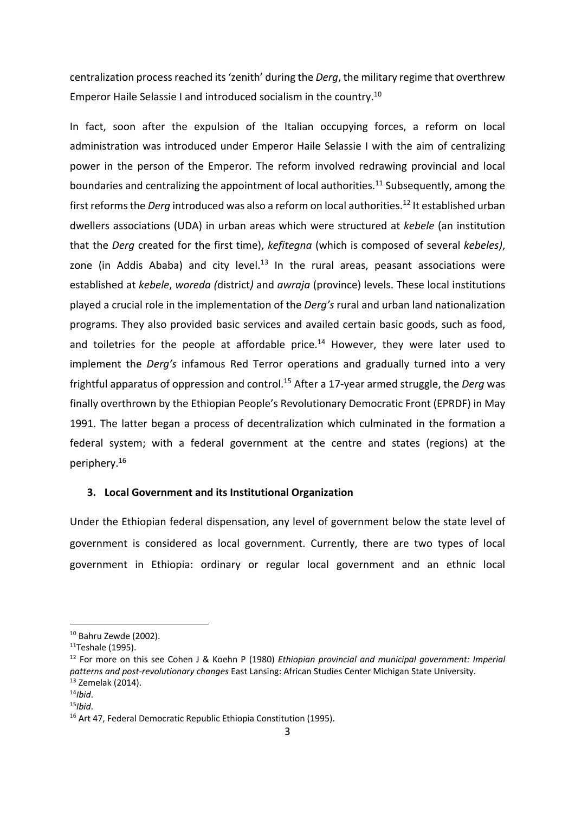centralization process reached its 'zenith' during the *Derg*, the military regime that overthrew Emperor Haile Selassie I and introduced socialism in the country.10

In fact, soon after the expulsion of the Italian occupying forces, a reform on local administration was introduced under Emperor Haile Selassie I with the aim of centralizing power in the person of the Emperor. The reform involved redrawing provincial and local boundaries and centralizing the appointment of local authorities.<sup>11</sup> Subsequently, among the first reforms the *Derg* introduced was also a reform on local authorities.12 It established urban dwellers associations (UDA) in urban areas which were structured at *kebele* (an institution that the *Derg* created for the first time), *kefitegna* (which is composed of several *kebeles)*, zone (in Addis Ababa) and city level.<sup>13</sup> In the rural areas, peasant associations were established at *kebele*, *woreda (*district*)* and *awraja* (province) levels. These local institutions played a crucial role in the implementation of the *Derg's* rural and urban land nationalization programs. They also provided basic services and availed certain basic goods, such as food, and toiletries for the people at affordable price.<sup>14</sup> However, they were later used to implement the *Derg's* infamous Red Terror operations and gradually turned into a very frightful apparatus of oppression and control.15 After a 17-year armed struggle, the *Derg* was finally overthrown by the Ethiopian People's Revolutionary Democratic Front (EPRDF) in May 1991. The latter began a process of decentralization which culminated in the formation a federal system; with a federal government at the centre and states (regions) at the periphery.16

# **3. Local Government and its Institutional Organization**

Under the Ethiopian federal dispensation, any level of government below the state level of government is considered as local government. Currently, there are two types of local government in Ethiopia: ordinary or regular local government and an ethnic local

<sup>10</sup> Bahru Zewde (2002).

 $11$ Teshale (1995).

<sup>12</sup> For more on this see Cohen J & Koehn P (1980) *Ethiopian provincial and municipal government: Imperial patterns and post-revolutionary changes* East Lansing: African Studies Center Michigan State University. 13 Zemelak (2014).

<sup>&</sup>lt;sup>14</sup>*Ibid.*<br><sup>15</sup>*Ibid.*<br><sup>16</sup> Art 47, Federal Democratic Republic Ethiopia Constitution (1995).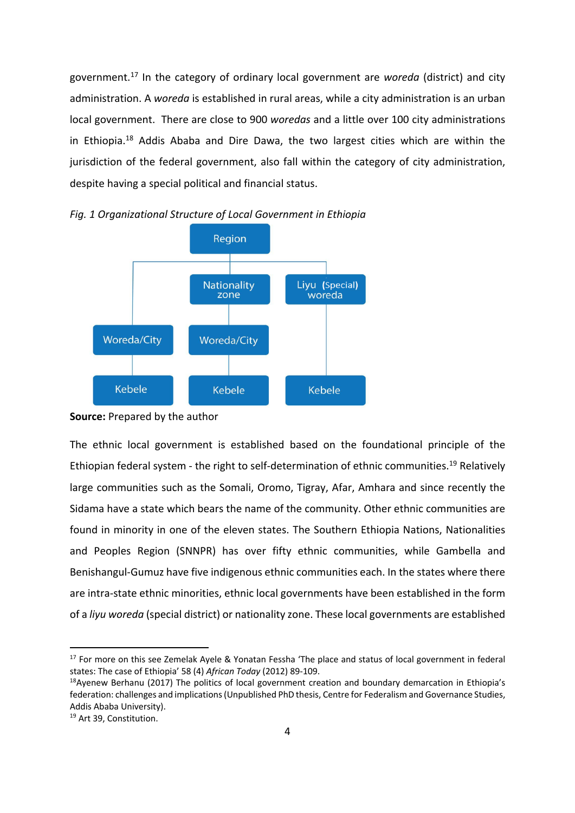government.17 In the category of ordinary local government are *woreda* (district) and city administration. A *woreda* is established in rural areas, while a city administration is an urban local government. There are close to 900 *woredas* and a little over 100 city administrations in Ethiopia.18 Addis Ababa and Dire Dawa, the two largest cities which are within the jurisdiction of the federal government, also fall within the category of city administration, despite having a special political and financial status.



*Fig. 1 Organizational Structure of Local Government in Ethiopia*

The ethnic local government is established based on the foundational principle of the Ethiopian federal system - the right to self-determination of ethnic communities.<sup>19</sup> Relatively large communities such as the Somali, Oromo, Tigray, Afar, Amhara and since recently the Sidama have a state which bears the name of the community. Other ethnic communities are found in minority in one of the eleven states. The Southern Ethiopia Nations, Nationalities and Peoples Region (SNNPR) has over fifty ethnic communities, while Gambella and Benishangul-Gumuz have five indigenous ethnic communities each. In the states where there are intra-state ethnic minorities, ethnic local governments have been established in the form of a *liyu woreda* (special district) or nationality zone. These local governments are established

**Source:** Prepared by the author

<sup>&</sup>lt;sup>17</sup> For more on this see Zemelak Ayele & Yonatan Fessha 'The place and status of local government in federal states: The case of Ethiopia' 58 (4) *African Today* (2012) 89-109.

<sup>&</sup>lt;sup>18</sup>Ayenew Berhanu (2017) The politics of local government creation and boundary demarcation in Ethiopia's federation: challenges and implications (Unpublished PhD thesis, Centre for Federalism and Governance Studies, Addis Ababa University).

<sup>19</sup> Art 39, Constitution.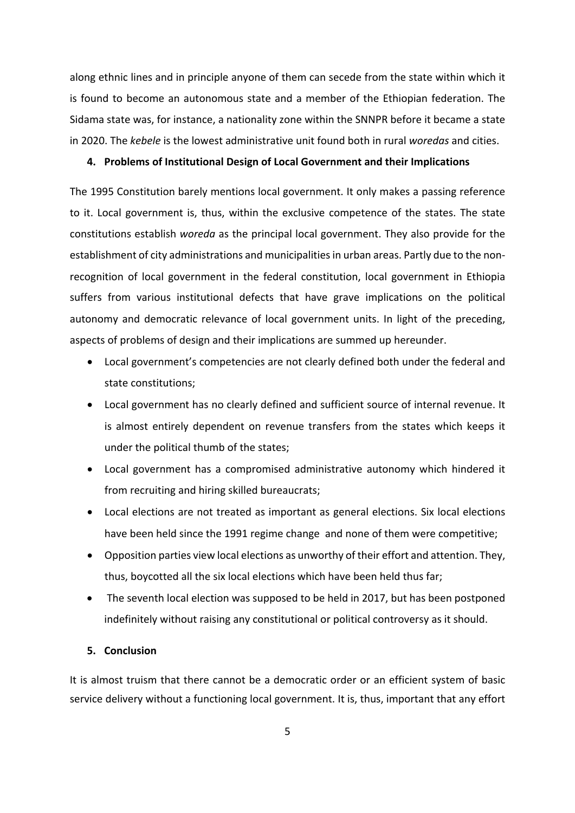along ethnic lines and in principle anyone of them can secede from the state within which it is found to become an autonomous state and a member of the Ethiopian federation. The Sidama state was, for instance, a nationality zone within the SNNPR before it became a state in 2020. The *kebele* is the lowest administrative unit found both in rural *woredas* and cities.

### **4. Problems of Institutional Design of Local Government and their Implications**

The 1995 Constitution barely mentions local government. It only makes a passing reference to it. Local government is, thus, within the exclusive competence of the states. The state constitutions establish *woreda* as the principal local government. They also provide for the establishment of city administrations and municipalities in urban areas. Partly due to the nonrecognition of local government in the federal constitution, local government in Ethiopia suffers from various institutional defects that have grave implications on the political autonomy and democratic relevance of local government units. In light of the preceding, aspects of problems of design and their implications are summed up hereunder.

- Local government's competencies are not clearly defined both under the federal and state constitutions;
- Local government has no clearly defined and sufficient source of internal revenue. It is almost entirely dependent on revenue transfers from the states which keeps it under the political thumb of the states;
- Local government has a compromised administrative autonomy which hindered it from recruiting and hiring skilled bureaucrats;
- Local elections are not treated as important as general elections. Six local elections have been held since the 1991 regime change and none of them were competitive;
- Opposition parties view local elections as unworthy of their effort and attention. They, thus, boycotted all the six local elections which have been held thus far;
- The seventh local election was supposed to be held in 2017, but has been postponed indefinitely without raising any constitutional or political controversy as it should.

# **5. Conclusion**

It is almost truism that there cannot be a democratic order or an efficient system of basic service delivery without a functioning local government. It is, thus, important that any effort